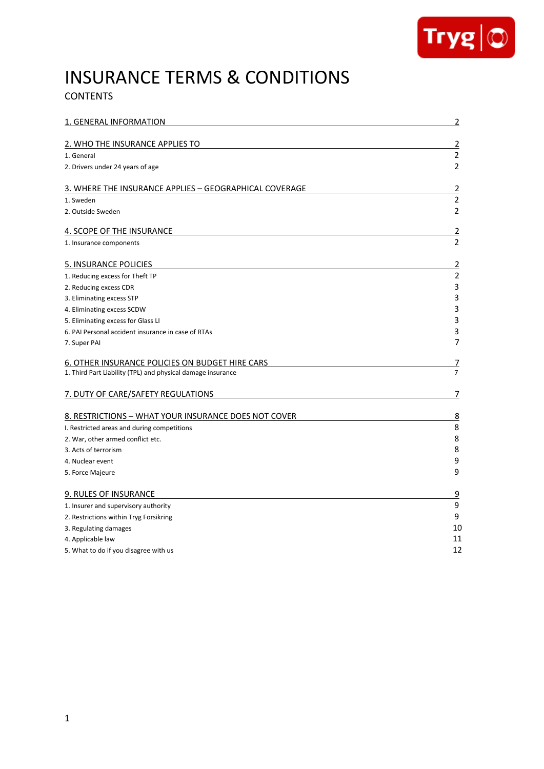

# INSURANCE TERMS & CONDITIONS

# **CONTENTS**

| 1. GENERAL INFORMATION                                      | $\overline{2}$ |
|-------------------------------------------------------------|----------------|
| 2. WHO THE INSURANCE APPLIES TO                             | $\overline{2}$ |
| 1. General                                                  | $\overline{2}$ |
| 2. Drivers under 24 years of age                            | $\overline{2}$ |
| 3. WHERE THE INSURANCE APPLIES – GEOGRAPHICAL COVERAGE      | 2              |
| 1. Sweden                                                   | $\overline{2}$ |
| 2. Outside Sweden                                           | $\overline{2}$ |
| <b>4. SCOPE OF THE INSURANCE</b>                            | $\overline{2}$ |
| 1. Insurance components                                     | $\overline{2}$ |
| <b>5. INSURANCE POLICIES</b>                                | $\overline{2}$ |
| 1. Reducing excess for Theft TP                             | $\overline{2}$ |
| 2. Reducing excess CDR                                      | $\overline{3}$ |
| 3. Eliminating excess STP                                   | 3              |
| 4. Eliminating excess SCDW                                  | 3              |
| 5. Eliminating excess for Glass LI                          | 3              |
| 6. PAI Personal accident insurance in case of RTAs          | 3              |
| 7. Super PAI                                                | 7              |
| 6. OTHER INSURANCE POLICIES ON BUDGET HIRE CARS             | 7              |
| 1. Third Part Liability (TPL) and physical damage insurance | $\overline{7}$ |
| 7. DUTY OF CARE/SAFETY REGULATIONS                          | 7              |
| 8. RESTRICTIONS - WHAT YOUR INSURANCE DOES NOT COVER        | $\overline{8}$ |
| I. Restricted areas and during competitions                 | 8              |
| 2. War, other armed conflict etc.                           | 8              |
| 3. Acts of terrorism                                        | 8              |
| 4. Nuclear event                                            | 9              |
| 5. Force Majeure                                            | 9              |
| 9. RULES OF INSURANCE                                       | $\overline{9}$ |
| 1. Insurer and supervisory authority                        | 9              |
| 2. Restrictions within Tryg Forsikring                      | 9              |
| 3. Regulating damages                                       | 10             |
| 4. Applicable law                                           | 11             |
| 5. What to do if you disagree with us                       | 12             |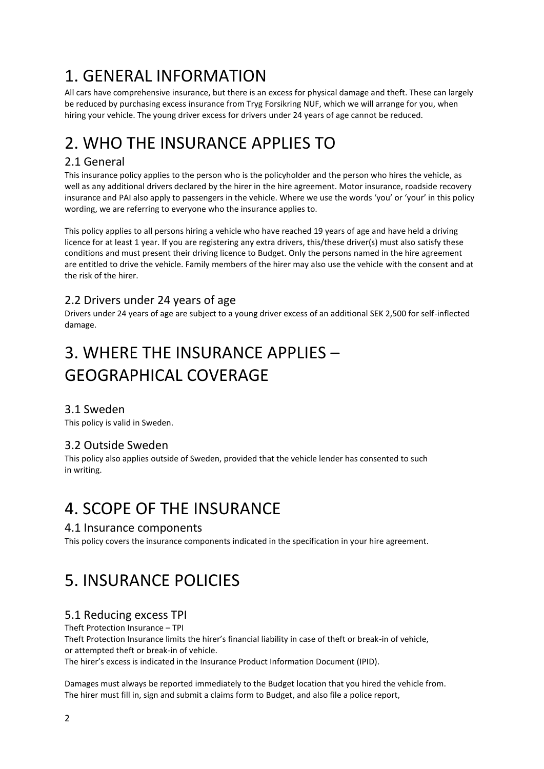# 1. GENERAL INFORMATION

All cars have comprehensive insurance, but there is an excess for physical damage and theft. These can largely be reduced by purchasing excess insurance from Tryg Forsikring NUF, which we will arrange for you, when hiring your vehicle. The young driver excess for drivers under 24 years of age cannot be reduced.

# 2. WHO THE INSURANCE APPLIES TO

# 2.1 General

This insurance policy applies to the person who is the policyholder and the person who hires the vehicle, as well as any additional drivers declared by the hirer in the hire agreement. Motor insurance, roadside recovery insurance and PAI also apply to passengers in the vehicle. Where we use the words 'you' or 'your' in this policy wording, we are referring to everyone who the insurance applies to.

This policy applies to all persons hiring a vehicle who have reached 19 years of age and have held a driving licence for at least 1 year. If you are registering any extra drivers, this/these driver(s) must also satisfy these conditions and must present their driving licence to Budget. Only the persons named in the hire agreement are entitled to drive the vehicle. Family members of the hirer may also use the vehicle with the consent and at the risk of the hirer.

## 2.2 Drivers under 24 years of age

Drivers under 24 years of age are subject to a young driver excess of an additional SEK 2,500 for self-inflected damage.

# 3. WHERE THE INSURANCE APPLIES – GEOGRAPHICAL COVERAGE

## 3.1 Sweden

This policy is valid in Sweden.

## 3.2 Outside Sweden

This policy also applies outside of Sweden, provided that the vehicle lender has consented to such in writing.

# 4. SCOPE OF THE INSURANCE

## 4.1 Insurance components

This policy covers the insurance components indicated in the specification in your hire agreement.

# 5. INSURANCE POLICIES

## 5.1 Reducing excess TPI

#### Theft Protection Insurance – TPI

Theft Protection Insurance limits the hirer's financial liability in case of theft or break-in of vehicle, or attempted theft or break-in of vehicle.

The hirer's excess is indicated in the Insurance Product Information Document (IPID).

Damages must always be reported immediately to the Budget location that you hired the vehicle from. The hirer must fill in, sign and submit a claims form to Budget, and also file a police report,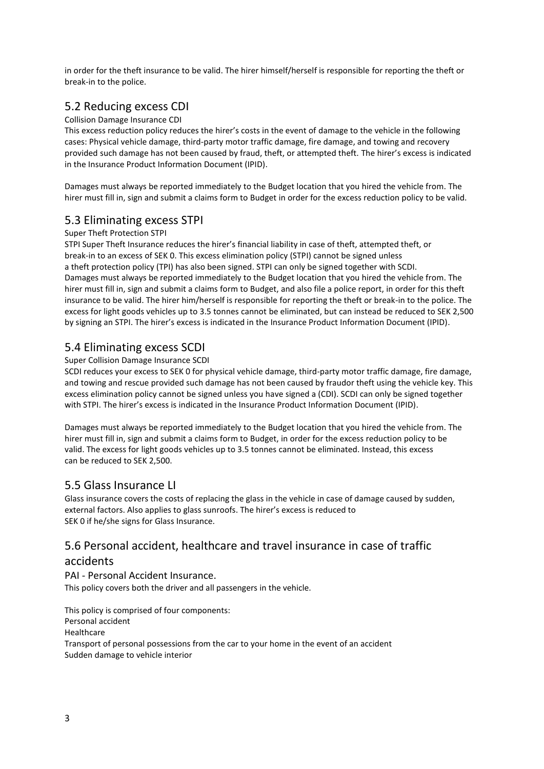in order for the theft insurance to be valid. The hirer himself/herself is responsible for reporting the theft or break-in to the police.

# 5.2 Reducing excess CDI

### Collision Damage Insurance CDI

This excess reduction policy reduces the hirer's costs in the event of damage to the vehicle in the following cases: Physical vehicle damage, third-party motor traffic damage, fire damage, and towing and recovery provided such damage has not been caused by fraud, theft, or attempted theft. The hirer's excess is indicated in the Insurance Product Information Document (IPID).

Damages must always be reported immediately to the Budget location that you hired the vehicle from. The hirer must fill in, sign and submit a claims form to Budget in order for the excess reduction policy to be valid.

# 5.3 Eliminating excess STPI

#### Super Theft Protection STPI

STPI Super Theft Insurance reduces the hirer's financial liability in case of theft, attempted theft, or break-in to an excess of SEK 0. This excess elimination policy (STPI) cannot be signed unless a theft protection policy (TPI) has also been signed. STPI can only be signed together with SCDI. Damages must always be reported immediately to the Budget location that you hired the vehicle from. The hirer must fill in, sign and submit a claims form to Budget, and also file a police report, in order for this theft insurance to be valid. The hirer him/herself is responsible for reporting the theft or break-in to the police. The excess for light goods vehicles up to 3.5 tonnes cannot be eliminated, but can instead be reduced to SEK 2,500 by signing an STPI. The hirer's excess is indicated in the Insurance Product Information Document (IPID).

## 5.4 Eliminating excess SCDI

#### Super Collision Damage Insurance SCDI

SCDI reduces your excess to SEK 0 for physical vehicle damage, third-party motor traffic damage, fire damage, and towing and rescue provided such damage has not been caused by fraudor theft using the vehicle key. This excess elimination policy cannot be signed unless you have signed a (CDI). SCDI can only be signed together with STPI. The hirer's excess is indicated in the Insurance Product Information Document (IPID).

Damages must always be reported immediately to the Budget location that you hired the vehicle from. The hirer must fill in, sign and submit a claims form to Budget, in order for the excess reduction policy to be valid. The excess for light goods vehicles up to 3.5 tonnes cannot be eliminated. Instead, this excess can be reduced to SEK 2,500.

## 5.5 Glass Insurance LI

Glass insurance covers the costs of replacing the glass in the vehicle in case of damage caused by sudden, external factors. Also applies to glass sunroofs. The hirer's excess is reduced to SEK 0 if he/she signs for Glass Insurance.

# 5.6 Personal accident, healthcare and travel insurance in case of traffic

## accidents

PAI - Personal Accident Insurance.

This policy covers both the driver and all passengers in the vehicle.

This policy is comprised of four components: Personal accident Healthcare Transport of personal possessions from the car to your home in the event of an accident Sudden damage to vehicle interior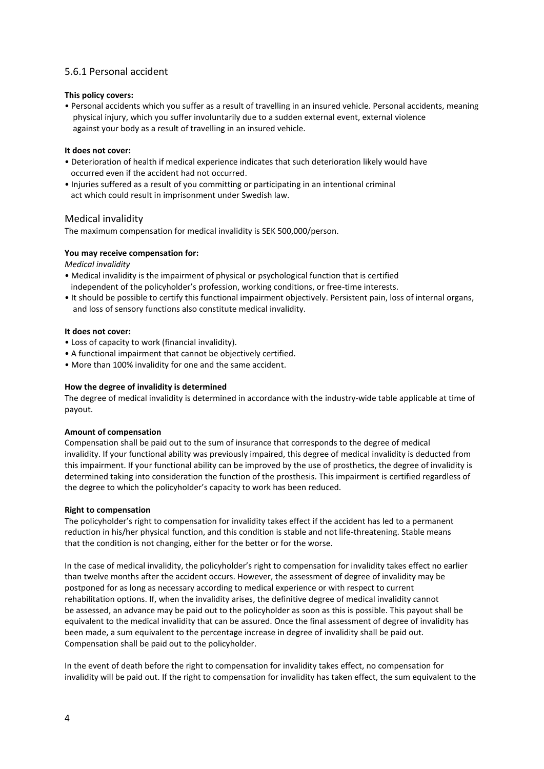### 5.6.1 Personal accident

#### **This policy covers:**

• Personal accidents which you suffer as a result of travelling in an insured vehicle. Personal accidents, meaning physical injury, which you suffer involuntarily due to a sudden external event, external violence against your body as a result of travelling in an insured vehicle.

#### **It does not cover:**

- Deterioration of health if medical experience indicates that such deterioration likely would have occurred even if the accident had not occurred.
- Injuries suffered as a result of you committing or participating in an intentional criminal act which could result in imprisonment under Swedish law.

#### Medical invalidity

The maximum compensation for medical invalidity is SEK 500,000/person.

#### **You may receive compensation for:**

*Medical invalidity*

- Medical invalidity is the impairment of physical or psychological function that is certified independent of the policyholder's profession, working conditions, or free-time interests.
- It should be possible to certify this functional impairment objectively. Persistent pain, loss of internal organs, and loss of sensory functions also constitute medical invalidity.

#### **It does not cover:**

- Loss of capacity to work (financial invalidity).
- A functional impairment that cannot be objectively certified.
- More than 100% invalidity for one and the same accident.

#### **How the degree of invalidity is determined**

The degree of medical invalidity is determined in accordance with the industry-wide table applicable at time of payout.

#### **Amount of compensation**

Compensation shall be paid out to the sum of insurance that corresponds to the degree of medical invalidity. If your functional ability was previously impaired, this degree of medical invalidity is deducted from this impairment. If your functional ability can be improved by the use of prosthetics, the degree of invalidity is determined taking into consideration the function of the prosthesis. This impairment is certified regardless of the degree to which the policyholder's capacity to work has been reduced.

#### **Right to compensation**

The policyholder's right to compensation for invalidity takes effect if the accident has led to a permanent reduction in his/her physical function, and this condition is stable and not life-threatening. Stable means that the condition is not changing, either for the better or for the worse.

In the case of medical invalidity, the policyholder's right to compensation for invalidity takes effect no earlier than twelve months after the accident occurs. However, the assessment of degree of invalidity may be postponed for as long as necessary according to medical experience or with respect to current rehabilitation options. If, when the invalidity arises, the definitive degree of medical invalidity cannot be assessed, an advance may be paid out to the policyholder as soon as this is possible. This payout shall be equivalent to the medical invalidity that can be assured. Once the final assessment of degree of invalidity has been made, a sum equivalent to the percentage increase in degree of invalidity shall be paid out. Compensation shall be paid out to the policyholder.

In the event of death before the right to compensation for invalidity takes effect, no compensation for invalidity will be paid out. If the right to compensation for invalidity has taken effect, the sum equivalent to the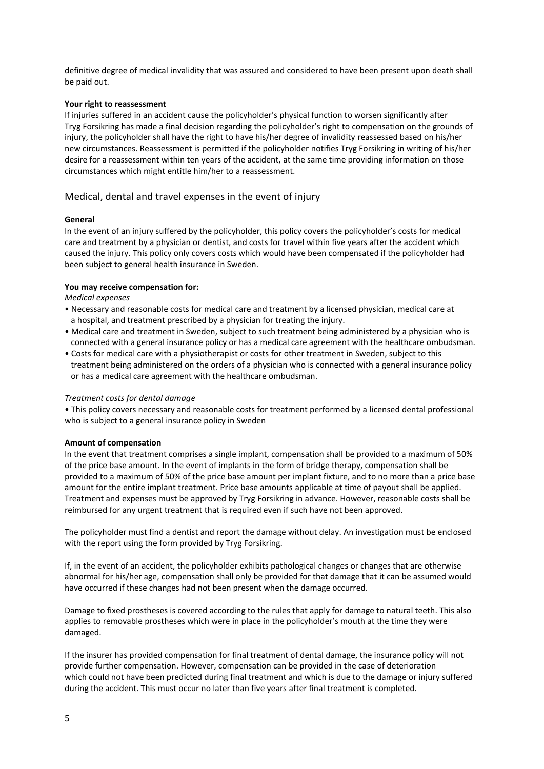definitive degree of medical invalidity that was assured and considered to have been present upon death shall be paid out.

#### **Your right to reassessment**

If injuries suffered in an accident cause the policyholder's physical function to worsen significantly after Tryg Forsikring has made a final decision regarding the policyholder's right to compensation on the grounds of injury, the policyholder shall have the right to have his/her degree of invalidity reassessed based on his/her new circumstances. Reassessment is permitted if the policyholder notifies Tryg Forsikring in writing of his/her desire for a reassessment within ten years of the accident, at the same time providing information on those circumstances which might entitle him/her to a reassessment.

### Medical, dental and travel expenses in the event of injury

#### **General**

In the event of an injury suffered by the policyholder, this policy covers the policyholder's costs for medical care and treatment by a physician or dentist, and costs for travel within five years after the accident which caused the injury. This policy only covers costs which would have been compensated if the policyholder had been subject to general health insurance in Sweden.

#### **You may receive compensation for:**

*Medical expenses*

- Necessary and reasonable costs for medical care and treatment by a licensed physician, medical care at a hospital, and treatment prescribed by a physician for treating the injury.
- Medical care and treatment in Sweden, subject to such treatment being administered by a physician who is connected with a general insurance policy or has a medical care agreement with the healthcare ombudsman.
- Costs for medical care with a physiotherapist or costs for other treatment in Sweden, subject to this treatment being administered on the orders of a physician who is connected with a general insurance policy or has a medical care agreement with the healthcare ombudsman.

#### *Treatment costs for dental damage*

• This policy covers necessary and reasonable costs for treatment performed by a licensed dental professional who is subject to a general insurance policy in Sweden

#### **Amount of compensation**

In the event that treatment comprises a single implant, compensation shall be provided to a maximum of 50% of the price base amount. In the event of implants in the form of bridge therapy, compensation shall be provided to a maximum of 50% of the price base amount per implant fixture, and to no more than a price base amount for the entire implant treatment. Price base amounts applicable at time of payout shall be applied. Treatment and expenses must be approved by Tryg Forsikring in advance. However, reasonable costs shall be reimbursed for any urgent treatment that is required even if such have not been approved.

The policyholder must find a dentist and report the damage without delay. An investigation must be enclosed with the report using the form provided by Tryg Forsikring.

If, in the event of an accident, the policyholder exhibits pathological changes or changes that are otherwise abnormal for his/her age, compensation shall only be provided for that damage that it can be assumed would have occurred if these changes had not been present when the damage occurred.

Damage to fixed prostheses is covered according to the rules that apply for damage to natural teeth. This also applies to removable prostheses which were in place in the policyholder's mouth at the time they were damaged.

If the insurer has provided compensation for final treatment of dental damage, the insurance policy will not provide further compensation. However, compensation can be provided in the case of deterioration which could not have been predicted during final treatment and which is due to the damage or injury suffered during the accident. This must occur no later than five years after final treatment is completed.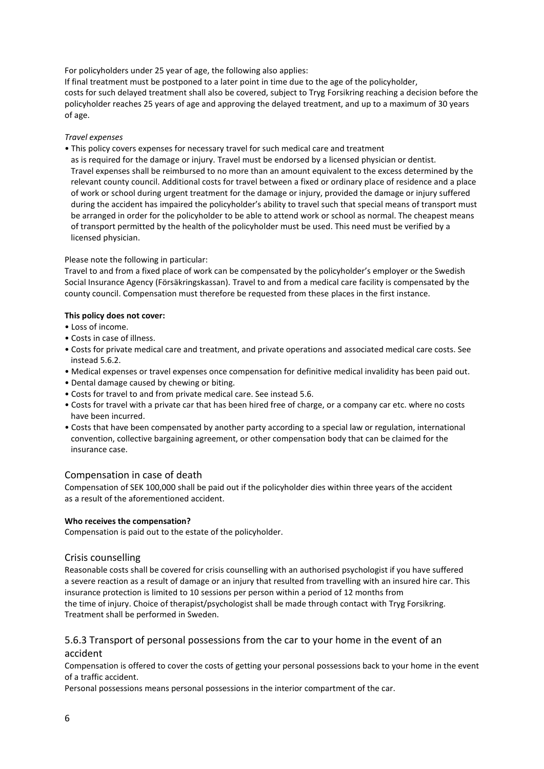For policyholders under 25 year of age, the following also applies:

If final treatment must be postponed to a later point in time due to the age of the policyholder, costs for such delayed treatment shall also be covered, subject to Tryg Forsikring reaching a decision before the policyholder reaches 25 years of age and approving the delayed treatment, and up to a maximum of 30 years of age.

#### *Travel expenses*

• This policy covers expenses for necessary travel for such medical care and treatment

 as is required for the damage or injury. Travel must be endorsed by a licensed physician or dentist. Travel expenses shall be reimbursed to no more than an amount equivalent to the excess determined by the relevant county council. Additional costs for travel between a fixed or ordinary place of residence and a place of work or school during urgent treatment for the damage or injury, provided the damage or injury suffered during the accident has impaired the policyholder's ability to travel such that special means of transport must be arranged in order for the policyholder to be able to attend work or school as normal. The cheapest means of transport permitted by the health of the policyholder must be used. This need must be verified by a licensed physician.

#### Please note the following in particular:

Travel to and from a fixed place of work can be compensated by the policyholder's employer or the Swedish Social Insurance Agency (Försäkringskassan). Travel to and from a medical care facility is compensated by the county council. Compensation must therefore be requested from these places in the first instance.

#### **This policy does not cover:**

- Loss of income.
- Costs in case of illness.
- Costs for private medical care and treatment, and private operations and associated medical care costs. See instead 5.6.2.
- Medical expenses or travel expenses once compensation for definitive medical invalidity has been paid out.
- Dental damage caused by chewing or biting.
- Costs for travel to and from private medical care. See instead 5.6.
- Costs for travel with a private car that has been hired free of charge, or a company car etc. where no costs have been incurred.
- Costs that have been compensated by another party according to a special law or regulation, international convention, collective bargaining agreement, or other compensation body that can be claimed for the insurance case.

#### Compensation in case of death

Compensation of SEK 100,000 shall be paid out if the policyholder dies within three years of the accident as a result of the aforementioned accident.

#### **Who receives the compensation?**

Compensation is paid out to the estate of the policyholder.

#### Crisis counselling

Reasonable costs shall be covered for crisis counselling with an authorised psychologist if you have suffered a severe reaction as a result of damage or an injury that resulted from travelling with an insured hire car. This insurance protection is limited to 10 sessions per person within a period of 12 months from the time of injury. Choice of therapist/psychologist shall be made through contact with Tryg Forsikring. Treatment shall be performed in Sweden.

#### 5.6.3 Transport of personal possessions from the car to your home in the event of an accident

Compensation is offered to cover the costs of getting your personal possessions back to your home in the event of a traffic accident.

Personal possessions means personal possessions in the interior compartment of the car.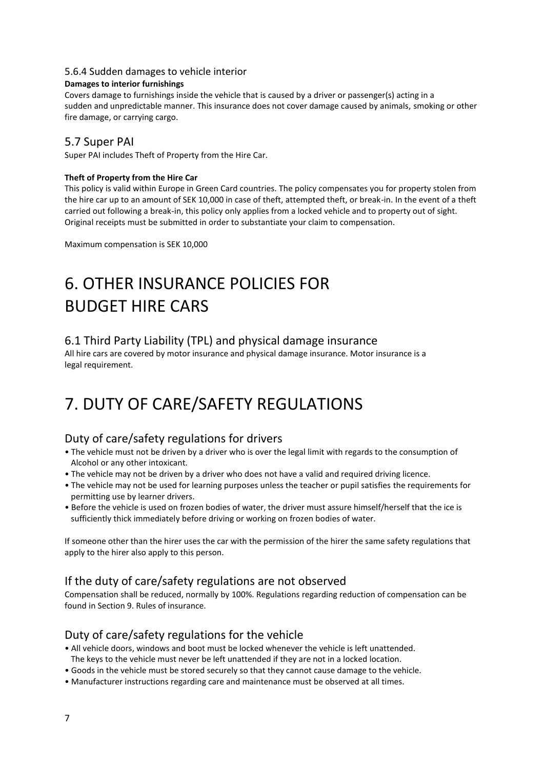#### 5.6.4 Sudden damages to vehicle interior

#### **Damages to interior furnishings**

Covers damage to furnishings inside the vehicle that is caused by a driver or passenger(s) acting in a sudden and unpredictable manner. This insurance does not cover damage caused by animals, smoking or other fire damage, or carrying cargo.

## 5.7 Super PAI

Super PAI includes Theft of Property from the Hire Car.

#### **Theft of Property from the Hire Car**

This policy is valid within Europe in Green Card countries. The policy compensates you for property stolen from the hire car up to an amount of SEK 10,000 in case of theft, attempted theft, or break-in. In the event of a theft carried out following a break-in, this policy only applies from a locked vehicle and to property out of sight. Original receipts must be submitted in order to substantiate your claim to compensation.

Maximum compensation is SEK 10,000

# 6. OTHER INSURANCE POLICIES FOR BUDGET HIRE CARS

## 6.1 Third Party Liability (TPL) and physical damage insurance

All hire cars are covered by motor insurance and physical damage insurance. Motor insurance is a legal requirement.

# 7. DUTY OF CARE/SAFETY REGULATIONS

## Duty of care/safety regulations for drivers

- The vehicle must not be driven by a driver who is over the legal limit with regards to the consumption of Alcohol or any other intoxicant.
- The vehicle may not be driven by a driver who does not have a valid and required driving licence.
- The vehicle may not be used for learning purposes unless the teacher or pupil satisfies the requirements for permitting use by learner drivers.
- Before the vehicle is used on frozen bodies of water, the driver must assure himself/herself that the ice is sufficiently thick immediately before driving or working on frozen bodies of water.

If someone other than the hirer uses the car with the permission of the hirer the same safety regulations that apply to the hirer also apply to this person.

## If the duty of care/safety regulations are not observed

Compensation shall be reduced, normally by 100%. Regulations regarding reduction of compensation can be found in Section 9. Rules of insurance.

## Duty of care/safety regulations for the vehicle

- All vehicle doors, windows and boot must be locked whenever the vehicle is left unattended. The keys to the vehicle must never be left unattended if they are not in a locked location.
- Goods in the vehicle must be stored securely so that they cannot cause damage to the vehicle.
- Manufacturer instructions regarding care and maintenance must be observed at all times.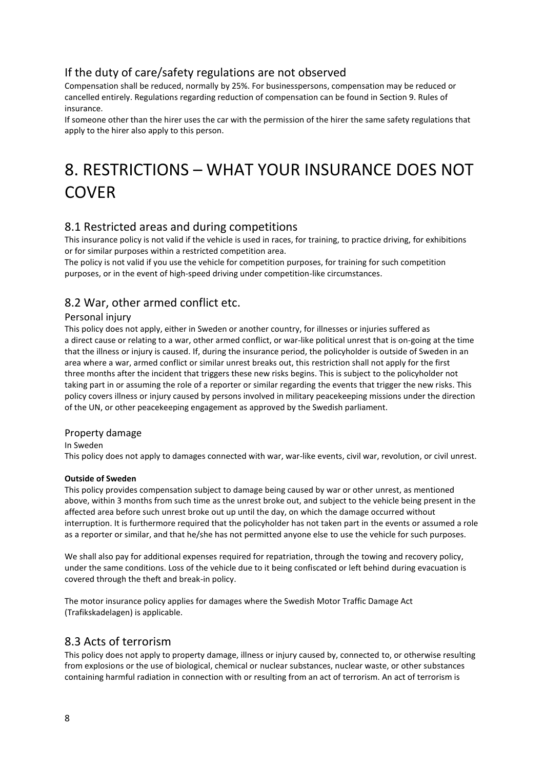# If the duty of care/safety regulations are not observed

Compensation shall be reduced, normally by 25%. For businesspersons, compensation may be reduced or cancelled entirely. Regulations regarding reduction of compensation can be found in Section 9. Rules of insurance.

If someone other than the hirer uses the car with the permission of the hirer the same safety regulations that apply to the hirer also apply to this person.

# 8. RESTRICTIONS – WHAT YOUR INSURANCE DOES NOT **COVER**

## 8.1 Restricted areas and during competitions

This insurance policy is not valid if the vehicle is used in races, for training, to practice driving, for exhibitions or for similar purposes within a restricted competition area.

The policy is not valid if you use the vehicle for competition purposes, for training for such competition purposes, or in the event of high-speed driving under competition-like circumstances.

## 8.2 War, other armed conflict etc.

### Personal injury

This policy does not apply, either in Sweden or another country, for illnesses or injuries suffered as a direct cause or relating to a war, other armed conflict, or war-like political unrest that is on-going at the time that the illness or injury is caused. If, during the insurance period, the policyholder is outside of Sweden in an area where a war, armed conflict or similar unrest breaks out, this restriction shall not apply for the first three months after the incident that triggers these new risks begins. This is subject to the policyholder not taking part in or assuming the role of a reporter or similar regarding the events that trigger the new risks. This policy covers illness or injury caused by persons involved in military peacekeeping missions under the direction of the UN, or other peacekeeping engagement as approved by the Swedish parliament.

#### Property damage

#### In Sweden

This policy does not apply to damages connected with war, war-like events, civil war, revolution, or civil unrest.

#### **Outside of Sweden**

This policy provides compensation subject to damage being caused by war or other unrest, as mentioned above, within 3 months from such time as the unrest broke out, and subject to the vehicle being present in the affected area before such unrest broke out up until the day, on which the damage occurred without interruption. It is furthermore required that the policyholder has not taken part in the events or assumed a role as a reporter or similar, and that he/she has not permitted anyone else to use the vehicle for such purposes.

We shall also pay for additional expenses required for repatriation, through the towing and recovery policy, under the same conditions. Loss of the vehicle due to it being confiscated or left behind during evacuation is covered through the theft and break-in policy.

The motor insurance policy applies for damages where the Swedish Motor Traffic Damage Act (Trafikskadelagen) is applicable.

## 8.3 Acts of terrorism

This policy does not apply to property damage, illness or injury caused by, connected to, or otherwise resulting from explosions or the use of biological, chemical or nuclear substances, nuclear waste, or other substances containing harmful radiation in connection with or resulting from an act of terrorism. An act of terrorism is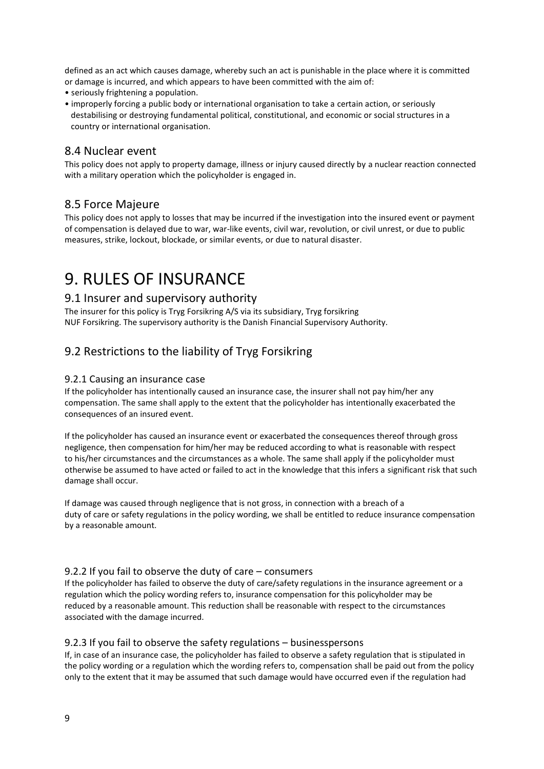defined as an act which causes damage, whereby such an act is punishable in the place where it is committed or damage is incurred, and which appears to have been committed with the aim of:

• seriously frightening a population.

• improperly forcing a public body or international organisation to take a certain action, or seriously destabilising or destroying fundamental political, constitutional, and economic or social structures in a country or international organisation.

## 8.4 Nuclear event

This policy does not apply to property damage, illness or injury caused directly by a nuclear reaction connected with a military operation which the policyholder is engaged in.

## 8.5 Force Majeure

This policy does not apply to losses that may be incurred if the investigation into the insured event or payment of compensation is delayed due to war, war-like events, civil war, revolution, or civil unrest, or due to public measures, strike, lockout, blockade, or similar events, or due to natural disaster.

# 9. RULES OF INSURANCE

## 9.1 Insurer and supervisory authority

The insurer for this policy is Tryg Forsikring A/S via its subsidiary, Tryg forsikring NUF Forsikring. The supervisory authority is the Danish Financial Supervisory Authority.

## 9.2 Restrictions to the liability of Tryg Forsikring

#### 9.2.1 Causing an insurance case

If the policyholder has intentionally caused an insurance case, the insurer shall not pay him/her any compensation. The same shall apply to the extent that the policyholder has intentionally exacerbated the consequences of an insured event.

If the policyholder has caused an insurance event or exacerbated the consequences thereof through gross negligence, then compensation for him/her may be reduced according to what is reasonable with respect to his/her circumstances and the circumstances as a whole. The same shall apply if the policyholder must otherwise be assumed to have acted or failed to act in the knowledge that this infers a significant risk that such damage shall occur.

If damage was caused through negligence that is not gross, in connection with a breach of a duty of care or safety regulations in the policy wording, we shall be entitled to reduce insurance compensation by a reasonable amount.

#### 9.2.2 If you fail to observe the duty of care – consumers

If the policyholder has failed to observe the duty of care/safety regulations in the insurance agreement or a regulation which the policy wording refers to, insurance compensation for this policyholder may be reduced by a reasonable amount. This reduction shall be reasonable with respect to the circumstances associated with the damage incurred.

#### 9.2.3 If you fail to observe the safety regulations – businesspersons

If, in case of an insurance case, the policyholder has failed to observe a safety regulation that is stipulated in the policy wording or a regulation which the wording refers to, compensation shall be paid out from the policy only to the extent that it may be assumed that such damage would have occurred even if the regulation had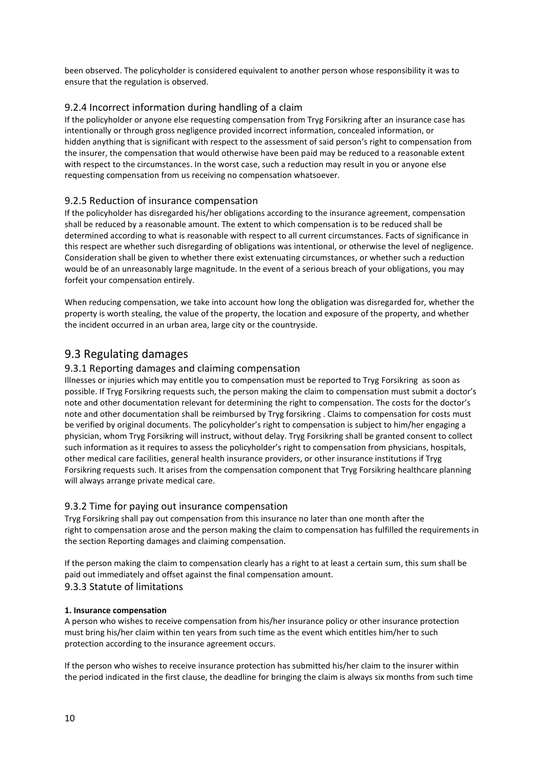been observed. The policyholder is considered equivalent to another person whose responsibility it was to ensure that the regulation is observed.

## 9.2.4 Incorrect information during handling of a claim

If the policyholder or anyone else requesting compensation from Tryg Forsikring after an insurance case has intentionally or through gross negligence provided incorrect information, concealed information, or hidden anything that is significant with respect to the assessment of said person's right to compensation from the insurer, the compensation that would otherwise have been paid may be reduced to a reasonable extent with respect to the circumstances. In the worst case, such a reduction may result in you or anyone else requesting compensation from us receiving no compensation whatsoever.

## 9.2.5 Reduction of insurance compensation

If the policyholder has disregarded his/her obligations according to the insurance agreement, compensation shall be reduced by a reasonable amount. The extent to which compensation is to be reduced shall be determined according to what is reasonable with respect to all current circumstances. Facts of significance in this respect are whether such disregarding of obligations was intentional, or otherwise the level of negligence. Consideration shall be given to whether there exist extenuating circumstances, or whether such a reduction would be of an unreasonably large magnitude. In the event of a serious breach of your obligations, you may forfeit your compensation entirely.

When reducing compensation, we take into account how long the obligation was disregarded for, whether the property is worth stealing, the value of the property, the location and exposure of the property, and whether the incident occurred in an urban area, large city or the countryside.

## 9.3 Regulating damages

### 9.3.1 Reporting damages and claiming compensation

Illnesses or injuries which may entitle you to compensation must be reported to Tryg Forsikring as soon as possible. If Tryg Forsikring requests such, the person making the claim to compensation must submit a doctor's note and other documentation relevant for determining the right to compensation. The costs for the doctor's note and other documentation shall be reimbursed by Tryg forsikring . Claims to compensation for costs must be verified by original documents. The policyholder's right to compensation is subject to him/her engaging a physician, whom Tryg Forsikring will instruct, without delay. Tryg Forsikring shall be granted consent to collect such information as it requires to assess the policyholder's right to compensation from physicians, hospitals, other medical care facilities, general health insurance providers, or other insurance institutions if Tryg Forsikring requests such. It arises from the compensation component that Tryg Forsikring healthcare planning will always arrange private medical care.

#### 9.3.2 Time for paying out insurance compensation

Tryg Forsikring shall pay out compensation from this insurance no later than one month after the right to compensation arose and the person making the claim to compensation has fulfilled the requirements in the section Reporting damages and claiming compensation.

If the person making the claim to compensation clearly has a right to at least a certain sum, this sum shall be paid out immediately and offset against the final compensation amount. 9.3.3 Statute of limitations

#### **1. Insurance compensation**

A person who wishes to receive compensation from his/her insurance policy or other insurance protection must bring his/her claim within ten years from such time as the event which entitles him/her to such protection according to the insurance agreement occurs.

If the person who wishes to receive insurance protection has submitted his/her claim to the insurer within the period indicated in the first clause, the deadline for bringing the claim is always six months from such time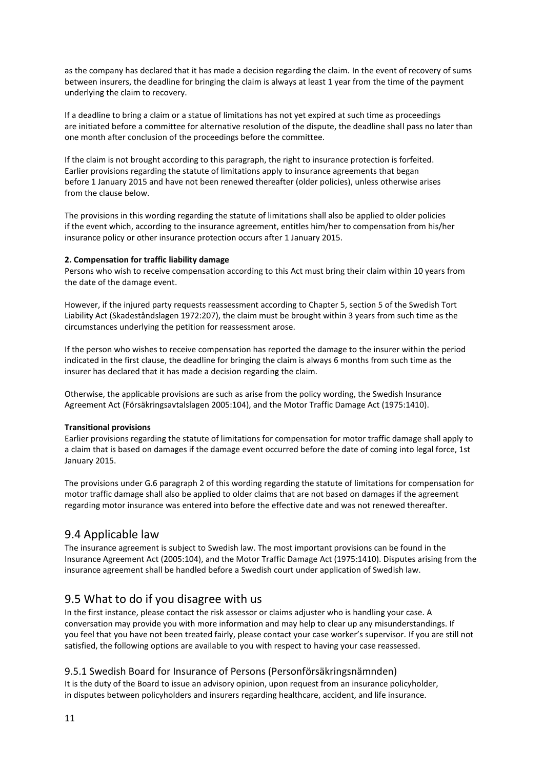as the company has declared that it has made a decision regarding the claim. In the event of recovery of sums between insurers, the deadline for bringing the claim is always at least 1 year from the time of the payment underlying the claim to recovery.

If a deadline to bring a claim or a statue of limitations has not yet expired at such time as proceedings are initiated before a committee for alternative resolution of the dispute, the deadline shall pass no later than one month after conclusion of the proceedings before the committee.

If the claim is not brought according to this paragraph, the right to insurance protection is forfeited. Earlier provisions regarding the statute of limitations apply to insurance agreements that began before 1 January 2015 and have not been renewed thereafter (older policies), unless otherwise arises from the clause below.

The provisions in this wording regarding the statute of limitations shall also be applied to older policies if the event which, according to the insurance agreement, entitles him/her to compensation from his/her insurance policy or other insurance protection occurs after 1 January 2015.

#### **2. Compensation for traffic liability damage**

Persons who wish to receive compensation according to this Act must bring their claim within 10 years from the date of the damage event.

However, if the injured party requests reassessment according to Chapter 5, section 5 of the Swedish Tort Liability Act (Skadeståndslagen 1972:207), the claim must be brought within 3 years from such time as the circumstances underlying the petition for reassessment arose.

If the person who wishes to receive compensation has reported the damage to the insurer within the period indicated in the first clause, the deadline for bringing the claim is always 6 months from such time as the insurer has declared that it has made a decision regarding the claim.

Otherwise, the applicable provisions are such as arise from the policy wording, the Swedish Insurance Agreement Act (Försäkringsavtalslagen 2005:104), and the Motor Traffic Damage Act (1975:1410).

#### **Transitional provisions**

Earlier provisions regarding the statute of limitations for compensation for motor traffic damage shall apply to a claim that is based on damages if the damage event occurred before the date of coming into legal force, 1st January 2015.

The provisions under G.6 paragraph 2 of this wording regarding the statute of limitations for compensation for motor traffic damage shall also be applied to older claims that are not based on damages if the agreement regarding motor insurance was entered into before the effective date and was not renewed thereafter.

## 9.4 Applicable law

The insurance agreement is subject to Swedish law. The most important provisions can be found in the Insurance Agreement Act (2005:104), and the Motor Traffic Damage Act (1975:1410). Disputes arising from the insurance agreement shall be handled before a Swedish court under application of Swedish law.

## 9.5 What to do if you disagree with us

In the first instance, please contact the risk assessor or claims adjuster who is handling your case. A conversation may provide you with more information and may help to clear up any misunderstandings. If you feel that you have not been treated fairly, please contact your case worker's supervisor. If you are still not satisfied, the following options are available to you with respect to having your case reassessed.

## 9.5.1 Swedish Board for Insurance of Persons (Personförsäkringsnämnden)

It is the duty of the Board to issue an advisory opinion, upon request from an insurance policyholder, in disputes between policyholders and insurers regarding healthcare, accident, and life insurance.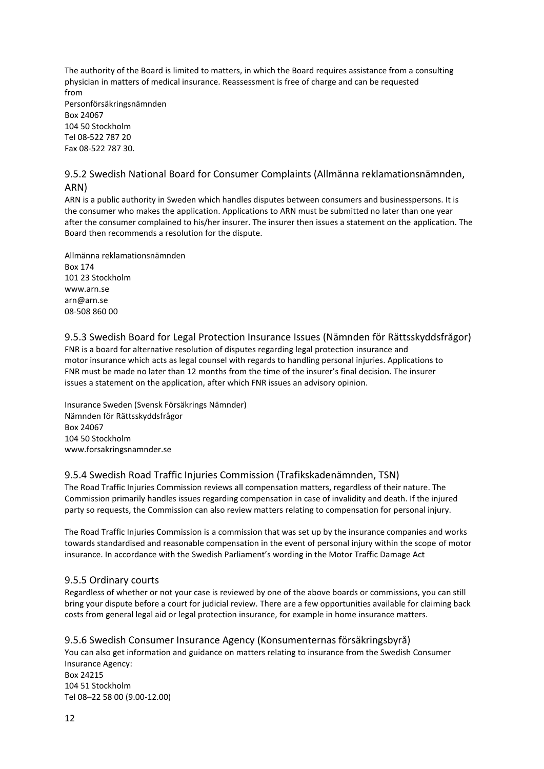The authority of the Board is limited to matters, in which the Board requires assistance from a consulting physician in matters of medical insurance. Reassessment is free of charge and can be requested from Personförsäkringsnämnden Box 24067 104 50 Stockholm Tel 08-522 787 20 Fax 08-522 787 30.

### 9.5.2 Swedish National Board for Consumer Complaints (Allmänna reklamationsnämnden, ARN)

ARN is a public authority in Sweden which handles disputes between consumers and businesspersons. It is the consumer who makes the application. Applications to ARN must be submitted no later than one year after the consumer complained to his/her insurer. The insurer then issues a statement on the application. The Board then recommends a resolution for the dispute.

Allmänna reklamationsnämnden Box 174 101 23 Stockholm www.arn.se arn@arn.se 08-508 860 00

### 9.5.3 Swedish Board for Legal Protection Insurance Issues (Nämnden för Rättsskyddsfrågor)

FNR is a board for alternative resolution of disputes regarding legal protection insurance and motor insurance which acts as legal counsel with regards to handling personal injuries. Applications to FNR must be made no later than 12 months from the time of the insurer's final decision. The insurer issues a statement on the application, after which FNR issues an advisory opinion.

Insurance Sweden (Svensk Försäkrings Nämnder) Nämnden för Rättsskyddsfrågor Box 24067 104 50 Stockholm www.forsakringsnamnder.se

## 9.5.4 Swedish Road Traffic Injuries Commission (Trafikskadenämnden, TSN)

The Road Traffic Injuries Commission reviews all compensation matters, regardless of their nature. The Commission primarily handles issues regarding compensation in case of invalidity and death. If the injured party so requests, the Commission can also review matters relating to compensation for personal injury.

The Road Traffic Injuries Commission is a commission that was set up by the insurance companies and works towards standardised and reasonable compensation in the event of personal injury within the scope of motor insurance. In accordance with the Swedish Parliament's wording in the Motor Traffic Damage Act

#### 9.5.5 Ordinary courts

Regardless of whether or not your case is reviewed by one of the above boards or commissions, you can still bring your dispute before a court for judicial review. There are a few opportunities available for claiming back costs from general legal aid or legal protection insurance, for example in home insurance matters.

## 9.5.6 Swedish Consumer Insurance Agency (Konsumenternas försäkringsbyrå)

You can also get information and guidance on matters relating to insurance from the Swedish Consumer Insurance Agency: Box 24215 104 51 Stockholm Tel 08–22 58 00 (9.00-12.00)